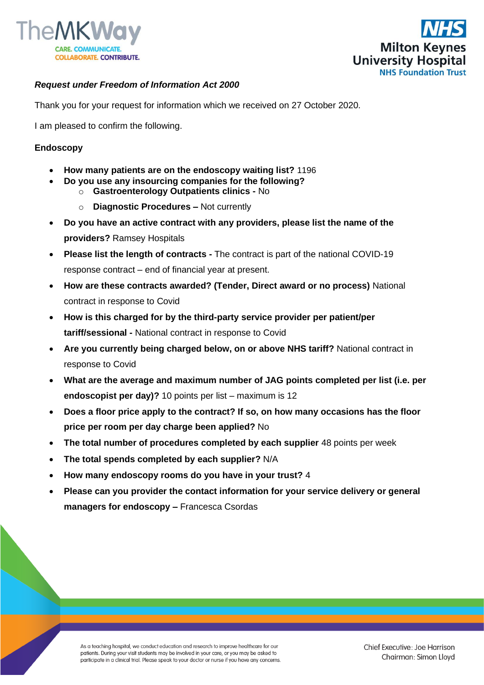



#### *Request under Freedom of Information Act 2000*

Thank you for your request for information which we received on 27 October 2020.

I am pleased to confirm the following.

#### **Endoscopy**

- **How many patients are on the endoscopy waiting list?** 1196
	- **Do you use any insourcing companies for the following?**
		- o **Gastroenterology Outpatients clinics -** No
		- o **Diagnostic Procedures –** Not currently
- **Do you have an active contract with any providers, please list the name of the providers?** Ramsey Hospitals
- **Please list the length of contracts -** The contract is part of the national COVID-19 response contract – end of financial year at present.
- **How are these contracts awarded? (Tender, Direct award or no process)** National contract in response to Covid
- **How is this charged for by the third-party service provider per patient/per tariff/sessional -** National contract in response to Covid
- **Are you currently being charged below, on or above NHS tariff?** National contract in response to Covid
- **What are the average and maximum number of JAG points completed per list (i.e. per endoscopist per day)?** 10 points per list – maximum is 12
- **Does a floor price apply to the contract? If so, on how many occasions has the floor price per room per day charge been applied?** No
- **The total number of procedures completed by each supplier** 48 points per week
- **The total spends completed by each supplier?** N/A
- **How many endoscopy rooms do you have in your trust?** 4
- **Please can you provider the contact information for your service delivery or general managers for endoscopy –** Francesca Csordas

As a teaching hospital, we conduct education and research to improve healthcare for our patients. During your visit students may be involved in your care, or you may be asked to participate in a clinical trial. Please speak to your doctor or nurse if you have any concerns.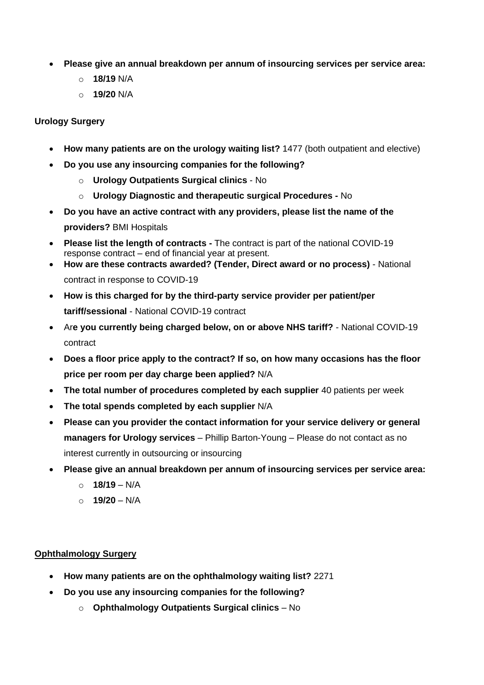- **Please give an annual breakdown per annum of insourcing services per service area:**
	- o **18/19** N/A
	- o **19/20** N/A

## **Urology Surgery**

- **How many patients are on the urology waiting list?** 1477 (both outpatient and elective)
- **Do you use any insourcing companies for the following?**
	- o **Urology Outpatients Surgical clinics** No
	- o **Urology Diagnostic and therapeutic surgical Procedures -** No
- **Do you have an active contract with any providers, please list the name of the providers?** BMI Hospitals
- **Please list the length of contracts -** The contract is part of the national COVID-19 response contract – end of financial year at present.
- **How are these contracts awarded? (Tender, Direct award or no process)**  National contract in response to COVID-19
- **How is this charged for by the third-party service provider per patient/per tariff/sessional** - National COVID-19 contract
- Ar**e you currently being charged below, on or above NHS tariff?**  National COVID-19 contract
- **Does a floor price apply to the contract? If so, on how many occasions has the floor price per room per day charge been applied?** N/A
- **The total number of procedures completed by each supplier** 40 patients per week
- **The total spends completed by each supplier** N/A
- **Please can you provider the contact information for your service delivery or general managers for Urology services** – Phillip [Barton-Young](mailto:Phillip.barton-Young@mkuh.nhs.uk) – Please do not contact as no interest currently in outsourcing or insourcing
- **Please give an annual breakdown per annum of insourcing services per service area:**
	- o **18/19**  N/A
	- o **19/20** N/A

### **Ophthalmology Surgery**

- **How many patients are on the ophthalmology waiting list?** 2271
- **Do you use any insourcing companies for the following?**
	- o **Ophthalmology Outpatients Surgical clinics** No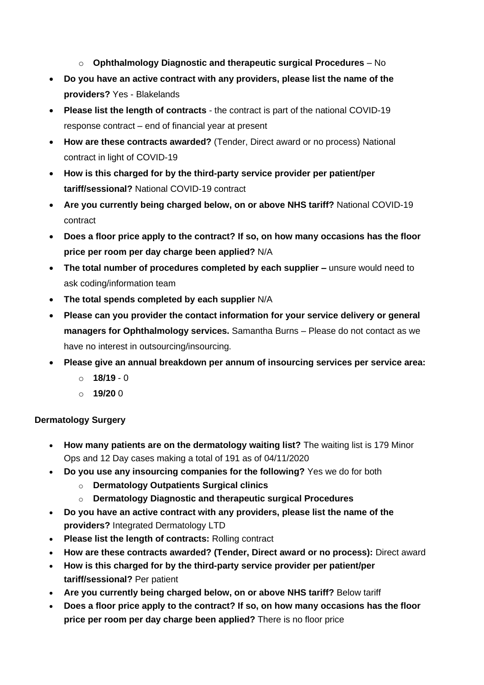- o **Ophthalmology Diagnostic and therapeutic surgical Procedures** No
- **Do you have an active contract with any providers, please list the name of the providers?** Yes - Blakelands
- **Please list the length of contracts**  the contract is part of the national COVID-19 response contract – end of financial year at present
- **How are these contracts awarded?** (Tender, Direct award or no process) National contract in light of COVID-19
- **How is this charged for by the third-party service provider per patient/per tariff/sessional?** National COVID-19 contract
- **Are you currently being charged below, on or above NHS tariff?** National COVID-19 contract
- **Does a floor price apply to the contract? If so, on how many occasions has the floor price per room per day charge been applied?** N/A
- **The total number of procedures completed by each supplier –** unsure would need to ask coding/information team
- **The total spends completed by each supplier** N/A
- **Please can you provider the contact information for your service delivery or general managers for Ophthalmology services.** Samantha Burns – Please do not contact as we have no interest in outsourcing/insourcing.
- **Please give an annual breakdown per annum of insourcing services per service area:**
	- o **18/19** 0
	- o **19/20** 0

# **Dermatology Surgery**

- **How many patients are on the dermatology waiting list?** The waiting list is 179 Minor Ops and 12 Day cases making a total of 191 as of 04/11/2020
- **Do you use any insourcing companies for the following?** Yes we do for both
	- o **Dermatology Outpatients Surgical clinics**
	- o **Dermatology Diagnostic and therapeutic surgical Procedures**
- **Do you have an active contract with any providers, please list the name of the providers?** Integrated Dermatology LTD
- **Please list the length of contracts:** Rolling contract
- **How are these contracts awarded? (Tender, Direct award or no process):** Direct award
- **How is this charged for by the third-party service provider per patient/per tariff/sessional?** Per patient
- **Are you currently being charged below, on or above NHS tariff?** Below tariff
- **Does a floor price apply to the contract? If so, on how many occasions has the floor price per room per day charge been applied?** There is no floor price